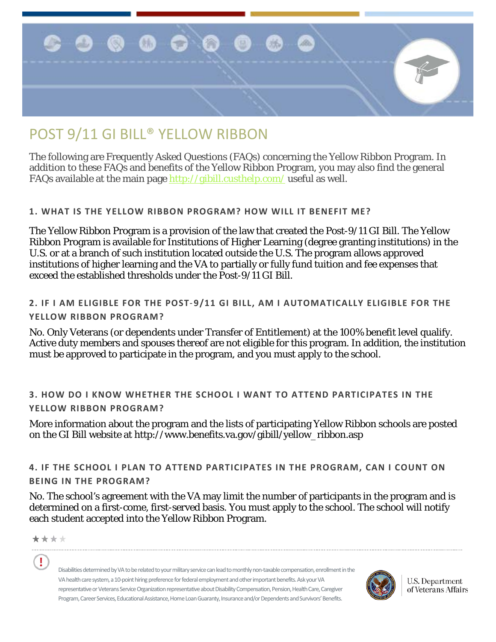

# POST 9/11 GI BILL® YELLOW RIBBON

The following are Frequently Asked Questions (FAQs) concerning the Yellow Ribbon Program. In addition to these FAQs and benefits of the Yellow Ribbon Program, you may also find the general FAQs available at the main page<http://gibill.custhelp.com/> useful as well.

# **1. WHAT IS THE YELLOW RIBBON PROGRAM? HOW WILL IT BENEFIT ME?**

The Yellow Ribbon Program is a provision of the law that created the Post-9/11 GI Bill. The Yellow Ribbon Program is available for Institutions of Higher Learning (degree granting institutions) in the U.S. or at a branch of such institution located outside the U.S. The program allows approved institutions of higher learning and the VA to partially or fully fund tuition and fee expenses that exceed the established thresholds under the Post-9/11 GI Bill.

# **2. IF I AM ELIGIBLE FOR THE POST**‐**9/11 GI BILL, AM I AUTOMATICALLY ELIGIBLE FOR THE YELLOW RIBBON PROGRAM?**

No. Only Veterans (or dependents under Transfer of Entitlement) at the 100% benefit level qualify. Active duty members and spouses thereof are not eligible for this program. In addition, the institution must be approved to participate in the program, and you must apply to the school.

# **3. HOW DO I KNOW WHETHER THE SCHOOL I WANT TO ATTEND PARTICIPATES IN THE YELLOW RIBBON PROGRAM?**

More information about the program and the lists of participating Yellow Ribbon schools are posted on the GI Bill website at http://www.benefits.va.gov/gibill/yellow\_ribbon.asp

**4. IF THE SCHOOL I PLAN TO ATTEND PARTICIPATES IN THE PROGRAM, CAN I COUNT ON BEING IN THE PROGRAM?** 

No. The school's agreement with the VA may limit the number of participants in the program and is determined on a first-come, first-served basis. You must apply to the school. The school will notify each student accepted into the Yellow Ribbon Program.

\*\*\*\*

Ţ

Disabilities determined by VA to be related to your military service can lead to monthly non-taxable compensation, enrollment in the VA health care system, a 10-point hiring preference for federal employment and other important benefits. Ask your VA representative or Veterans Service Organization representative about Disability Compensation, Pension, Health Care, Caregiver Program, Career Services, Educational Assistance, Home Loan Guaranty, Insurance and/or Dependents and Survivors' Benefits.



U.S. Department of Veterans Affairs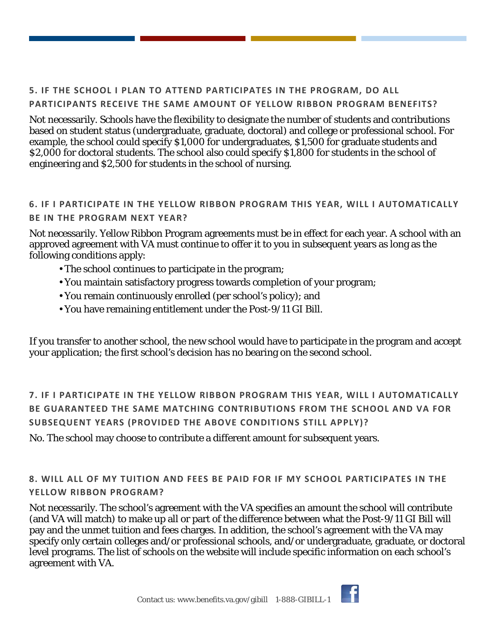# **5. IF THE SCHOOL I PLAN TO ATTEND PARTICIPATES IN THE PROGRAM, DO ALL PARTICIPANTS RECEIVE THE SAME AMOUNT OF YELLOW RIBBON PROGRAM BENEFITS?**

Not necessarily. Schools have the flexibility to designate the number of students and contributions based on student status (undergraduate, graduate, doctoral) and college or professional school. For example, the school could specify \$1,000 for undergraduates, \$1,500 for graduate students and \$2,000 for doctoral students. The school also could specify \$1,800 for students in the school of engineering and \$2,500 for students in the school of nursing.

# **6. IF I PARTICIPATE IN THE YELLOW RIBBON PROGRAM THIS YEAR, WILL I AUTOMATICALLY BE IN THE PROGRAM NEXT YEAR?**

Not necessarily. Yellow Ribbon Program agreements must be in effect for each year. A school with an approved agreement with VA must continue to offer it to you in subsequent years as long as the following conditions apply:

- The school continues to participate in the program;
- You maintain satisfactory progress towards completion of your program;
- You remain continuously enrolled (per school's policy); and
- You have remaining entitlement under the Post-9/11 GI Bill.

If you transfer to another school, the new school would have to participate in the program and accept your application; the first school's decision has no bearing on the second school.

**7. IF I PARTICIPATE IN THE YELLOW RIBBON PROGRAM THIS YEAR, WILL I AUTOMATICALLY BE GUARANTEED THE SAME MATCHING CONTRIBUTIONS FROM THE SCHOOL AND VA FOR SUBSEQUENT YEARS (PROVIDED THE ABOVE CONDITIONS STILL APPLY)?** 

No. The school may choose to contribute a different amount for subsequent years.

**8. WILL ALL OF MY TUITION AND FEES BE PAID FOR IF MY SCHOOL PARTICIPATES IN THE YELLOW RIBBON PROGRAM?** 

Not necessarily. The school's agreement with the VA specifies an amount the school will contribute (and VA will match) to make up all or part of the difference between what the Post-9/11 GI Bill will pay and the unmet tuition and fees charges. In addition, the school's agreement with the VA may specify only certain colleges and/or professional schools, and/or undergraduate, graduate, or doctoral level programs. The list of schools on the website will include specific information on each school's agreement with VA.

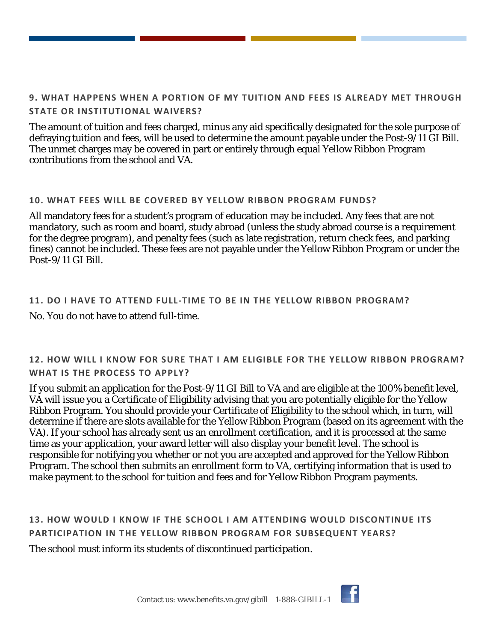# **9. WHAT HAPPENS WHEN A PORTION OF MY TUITION AND FEES IS ALREADY MET THROUGH STATE OR INSTITUTIONAL WAIVERS?**

The amount of tuition and fees charged, minus any aid specifically designated for the sole purpose of defraying tuition and fees, will be used to determine the amount payable under the Post-9/11 GI Bill. The unmet charges may be covered in part or entirely through equal Yellow Ribbon Program contributions from the school and VA.

#### **10. WHAT FEES WILL BE COVERED BY YELLOW RIBBON PROGRAM FUNDS?**

All mandatory fees for a student's program of education may be included. Any fees that are not mandatory, such as room and board, study abroad (unless the study abroad course is a requirement for the degree program), and penalty fees (such as late registration, return check fees, and parking fines) cannot be included. These fees are not payable under the Yellow Ribbon Program or under the Post-9/11 GI Bill.

# **11. DO I HAVE TO ATTEND FULL-TIME TO BE IN THE YELLOW RIBBON PROGRAM?** No. You do not have to attend full-time.

# **12. HOW WILL I KNOW FOR SURE THAT I AM ELIGIBLE FOR THE YELLOW RIBBON PROGRAM? WHAT IS THE PROCESS TO APPLY?**

If you submit an application for the Post-9/11 GI Bill to VA and are eligible at the 100% benefit level, VA will issue you a Certificate of Eligibility advising that you are potentially eligible for the Yellow Ribbon Program. You should provide your Certificate of Eligibility to the school which, in turn, will determine if there are slots available for the Yellow Ribbon Program (based on its agreement with the VA). If your school has already sent us an enrollment certification, and it is processed at the same time as your application, your award letter will also display your benefit level. The school is responsible for notifying you whether or not you are accepted and approved for the Yellow Ribbon Program. The school then submits an enrollment form to VA, certifying information that is used to make payment to the school for tuition and fees and for Yellow Ribbon Program payments.

# **13. HOW WOULD I KNOW IF THE SCHOOL I AM ATTENDING WOULD DISCONTINUE ITS PARTICIPATION IN THE YELLOW RIBBON PROGRAM FOR SUBSEQUENT YEARS?**  The school must inform its students of discontinued participation.